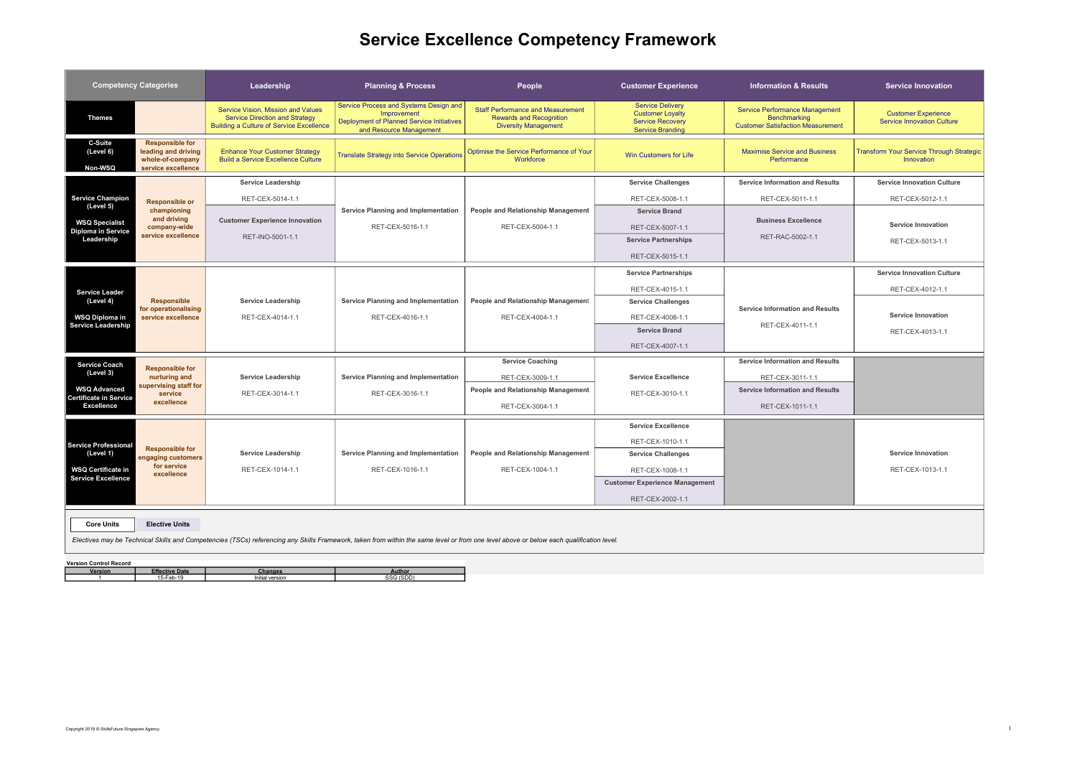## Service Excellence Competency Framework

| <b>Competency Categories</b>                                                      |                                                                                         | Leadership                                                                                                                     | <b>Planning &amp; Process</b>                                                                                                                                                           | People                                                                                                    | <b>Customer Experience</b>                                                                               | <b>Information &amp; Results</b>                                                                  | <b>Service Innovation</b>                                       |
|-----------------------------------------------------------------------------------|-----------------------------------------------------------------------------------------|--------------------------------------------------------------------------------------------------------------------------------|-----------------------------------------------------------------------------------------------------------------------------------------------------------------------------------------|-----------------------------------------------------------------------------------------------------------|----------------------------------------------------------------------------------------------------------|---------------------------------------------------------------------------------------------------|-----------------------------------------------------------------|
| <b>Themes</b>                                                                     |                                                                                         | Service Vision, Mission and Values<br><b>Service Direction and Strategy</b><br><b>Building a Culture of Service Excellence</b> | Service Process and Systems Design and<br>Improvement<br>Deployment of Planned Service Initiatives<br>and Resource Management                                                           | <b>Staff Performance and Measurement</b><br><b>Rewards and Recognition</b><br><b>Diversity Management</b> | <b>Service Delivery</b><br><b>Customer Loyalty</b><br><b>Service Recovery</b><br><b>Service Branding</b> | <b>Service Performance Management</b><br>Benchmarking<br><b>Customer Satisfaction Measurement</b> | <b>Customer Experience</b><br><b>Service Innovation Culture</b> |
| C-Suite<br>(Level 6)<br>Non-WSQ                                                   | <b>Responsible for</b><br>leading and driving<br>whole-of-company<br>service excellence | <b>Enhance Your Customer Strategy</b><br><b>Build a Service Excellence Culture</b>                                             | <b>Translate Strategy into Service Operations</b>                                                                                                                                       | Optimise the Service Performance of Your<br>Workforce                                                     | Win Customers for Life                                                                                   | <b>Maximise Service and Business</b><br>Performance                                               | <b>Transform Your Service Through Strategic</b><br>Innovation   |
| <b>Service Champion</b><br>(Level 5)                                              | <b>Responsible or</b>                                                                   | <b>Service Leadership</b>                                                                                                      |                                                                                                                                                                                         |                                                                                                           | <b>Service Challenges</b>                                                                                | <b>Service Information and Results</b>                                                            | <b>Service Innovation Culture</b>                               |
|                                                                                   |                                                                                         | RET-CEX-5014-1.1                                                                                                               |                                                                                                                                                                                         |                                                                                                           | RET-CEX-5008-1.1                                                                                         | RET-CEX-5011-1.1                                                                                  | RET-CEX-5012-1.1                                                |
|                                                                                   | championing<br>and driving                                                              | <b>Customer Experience Innovation</b>                                                                                          | Service Planning and Implementation                                                                                                                                                     | People and Relationship Management                                                                        | <b>Service Brand</b>                                                                                     | <b>Business Excellence</b>                                                                        |                                                                 |
| <b>WSQ Specialist</b><br><b>Diploma in Service</b>                                | company-wide<br>service excellence                                                      |                                                                                                                                | RET-CEX-5016-1.1                                                                                                                                                                        | RET-CEX-5004-1.1                                                                                          | RET-CEX-5007-1.1                                                                                         | RET-RAC-5002-1.1                                                                                  | <b>Service Innovation</b>                                       |
| Leadership                                                                        |                                                                                         | RET-INO-5001-1.1                                                                                                               |                                                                                                                                                                                         |                                                                                                           | <b>Service Partnerships</b>                                                                              |                                                                                                   | RET-CEX-5013-1.1                                                |
|                                                                                   |                                                                                         |                                                                                                                                |                                                                                                                                                                                         |                                                                                                           | RET-CEX-5015-1.1                                                                                         |                                                                                                   |                                                                 |
|                                                                                   | <b>Responsible</b><br>for operationalising<br>service excellence                        | <b>Service Leadership</b><br>RET-CEX-4014-1.1                                                                                  | Service Planning and Implementation<br>RET-CEX-4016-1.1                                                                                                                                 | People and Relationship Management<br>RET-CEX-4004-1.1                                                    | <b>Service Partnerships</b>                                                                              | <b>Service Information and Results</b><br>RET-CEX-4011-1.1                                        | <b>Service Innovation Culture</b>                               |
| <b>Service Leader</b><br>(Level 4)<br><b>WSQ Diploma in</b><br>Service Leadership |                                                                                         |                                                                                                                                |                                                                                                                                                                                         |                                                                                                           | RET-CEX-4015-1.1                                                                                         |                                                                                                   | RET-CEX-4012-1.1                                                |
|                                                                                   |                                                                                         |                                                                                                                                |                                                                                                                                                                                         |                                                                                                           | <b>Service Challenges</b>                                                                                |                                                                                                   |                                                                 |
|                                                                                   |                                                                                         |                                                                                                                                |                                                                                                                                                                                         |                                                                                                           | RET-CEX-4008-1.1                                                                                         |                                                                                                   | <b>Service Innovation</b>                                       |
|                                                                                   |                                                                                         |                                                                                                                                |                                                                                                                                                                                         |                                                                                                           | <b>Service Brand</b>                                                                                     |                                                                                                   | RET-CEX-4013-1.1                                                |
|                                                                                   |                                                                                         |                                                                                                                                |                                                                                                                                                                                         |                                                                                                           | RET-CEX-4007-1.1                                                                                         |                                                                                                   |                                                                 |
| Service Coach                                                                     |                                                                                         |                                                                                                                                |                                                                                                                                                                                         | <b>Service Coaching</b>                                                                                   |                                                                                                          | <b>Service Information and Results</b>                                                            |                                                                 |
| (Level 3)                                                                         | <b>Responsible for</b><br>nurturing and                                                 | <b>Service Leadership</b>                                                                                                      | Service Planning and Implementation                                                                                                                                                     | RET-CEX-3009-1.1                                                                                          | <b>Service Excellence</b>                                                                                | RET-CEX-3011-1.1                                                                                  |                                                                 |
| <b>WSQ Advanced</b>                                                               | supervising staff for<br>service                                                        | RET-CEX-3014-1.1                                                                                                               | RET-CEX-3016-1.1                                                                                                                                                                        | People and Relationship Management                                                                        | RET-CEX-3010-1.1                                                                                         | <b>Service Information and Results</b>                                                            |                                                                 |
| <b>Certificate in Service</b><br><b>Excellence</b>                                | excellence                                                                              |                                                                                                                                |                                                                                                                                                                                         | RET-CEX-3004-1.1                                                                                          |                                                                                                          | RET-CEX-1011-1.1                                                                                  |                                                                 |
| Service Professional<br>(Level 1)<br><b>WSQ Certificate in</b>                    | <b>Responsible for</b><br>engaging customers<br>for service<br>excellence               |                                                                                                                                |                                                                                                                                                                                         |                                                                                                           | <b>Service Excellence</b>                                                                                |                                                                                                   |                                                                 |
|                                                                                   |                                                                                         |                                                                                                                                |                                                                                                                                                                                         |                                                                                                           | RET-CEX-1010-1.1                                                                                         |                                                                                                   |                                                                 |
|                                                                                   |                                                                                         | Service Leadership                                                                                                             | Service Planning and Implementation                                                                                                                                                     | People and Relationship Management                                                                        | <b>Service Challenges</b>                                                                                |                                                                                                   | <b>Service Innovation</b>                                       |
|                                                                                   |                                                                                         | RET-CEX-1014-1.1                                                                                                               | RET-CEX-1016-1.1                                                                                                                                                                        | RET-CEX-1004-1.1                                                                                          | RET-CEX-1008-1.1                                                                                         |                                                                                                   | RET-CEX-1013-1.1                                                |
| <b>Service Excellence</b>                                                         |                                                                                         |                                                                                                                                |                                                                                                                                                                                         |                                                                                                           | <b>Customer Experience Management</b>                                                                    |                                                                                                   |                                                                 |
|                                                                                   |                                                                                         |                                                                                                                                |                                                                                                                                                                                         |                                                                                                           | RET-CEX-2002-1.1                                                                                         |                                                                                                   |                                                                 |
|                                                                                   |                                                                                         |                                                                                                                                |                                                                                                                                                                                         |                                                                                                           |                                                                                                          |                                                                                                   |                                                                 |
| <b>Core Units</b>                                                                 | <b>Elective Units</b>                                                                   |                                                                                                                                |                                                                                                                                                                                         |                                                                                                           |                                                                                                          |                                                                                                   |                                                                 |
|                                                                                   |                                                                                         |                                                                                                                                | Electives may be Technical Skills and Competencies (TSCs) referencing any Skills Framework, taken from within the same level or from one level above or below each qualification level. |                                                                                                           |                                                                                                          |                                                                                                   |                                                                 |
| <b>Version Control Record</b>                                                     |                                                                                         |                                                                                                                                |                                                                                                                                                                                         |                                                                                                           |                                                                                                          |                                                                                                   |                                                                 |
| Version                                                                           | <b>Effective Date</b><br>15-Feb-19                                                      | <b>Changes</b><br>Initial version                                                                                              | Author<br>SSG (SDD)                                                                                                                                                                     |                                                                                                           |                                                                                                          |                                                                                                   |                                                                 |